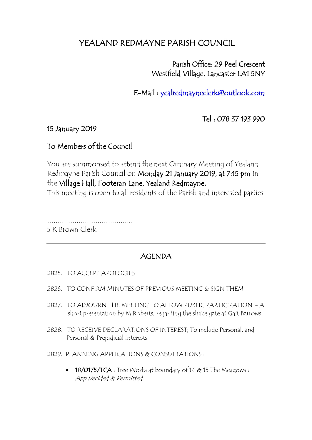# YEALAND REDMAYNE PARISH COUNCIL

 Parish Office: 29 Peel Crescent Westfield Village, Lancaster LA1 5NY

E-Mail : [yealredmayneclerk@outlook.com](mailto:yealredmayneclerk@outlook.com) 

Tel : 078 37 193 990

#### 15 January 2019

## To Members of the Council

You are summonsed to attend the next Ordinary Meeting of Yealand Redmayne Parish Council on Monday 21 January 2019, at 7:15 pm in the Village Hall, Footeran Lane, Yealand Redmayne. This meeting is open to all residents of the Parish and interested parties

…………………………………..

S K Brown Clerk

### AGENDA

- 2825. TO ACCEPT APOLOGIES
- 2826. TO CONFIRM MINUTES OF PREVIOUS MEETING & SIGN THEM
- 2827. TO ADJOURN THE MEETING TO ALLOW PUBLIC PARTICIPATION A short presentation by M Roberts, regarding the sluice gate at Gait Barrows.
- 2828. TO RECEIVE DECLARATIONS OF INTEREST; To include Personal, and Personal & Prejudicial Interests.
- 2829. PLANNING APPLICATIONS & CONSULTATIONS :
	- 18/0175/TCA : Tree Works at boundary of 14 & 15 The Meadows : App Decided & Permitted.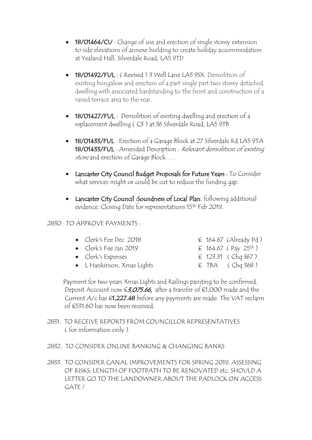- 18/01464/CU : Change of use and erection of single storey extension to side elevations of annexe building to create holiday accommodation at Yealand Hall, Silverdale Road, LA5 9TD
- 18/01492/FUL: ( Revised ) 3 Well Lane LA5 9SX. Demolition of existing bungalow and erection of a part single part two storey detached dwelling with associated hardstanding to the front and construction of a raised terrace area to the rear.
- 18/01427/FUL : Demolition of existing dwelling and erection of a replacement dwelling ( C3 ) at 36 Silverdale Road, LA5 9TB
- 18/01433/FUL : Erection of a Garage Block at 27 Silverdale Rd LA5 9TA 18/01433/FUL : Amended Description : Relevant demolition of existing store and erection of Garage Block . . .
- Lancaster City Council Budget Proposals for Future Years : To Consider what services might or could be cut to reduce the funding gap.
- Lancaster City Council : Soundness of Local Plan, following additional evidence. Closing Date for representations 15<sup>th</sup> Feb 2019.

#### 2830. TO APPROVE PAYMENTS :

- Clerk's Fee Dec 2018  $\epsilon$  164.67 (Already Pd)
- Clerk's Fee Jan 2019  $\epsilon$  164.67 (Pay 25<sup>th</sup>)
- Clerk's Expenses  $\epsilon$  123.31 (Chq 367)
- L Hankinson, Xmas Lights  $\epsilon$  TBA ( Chq 368 )
- 
- 
- -

 Payment for two years Xmas Lights and Railings painting to be confirmed. Deposit Account now £3,075.66, after a transfer of £1,000 made and the Current  $A/c$  has  $\epsilon$ 1,227.48 before any payments are made. The VAT reclaim of £531.60 has now been received.

- 2831. TO RECEIVE REPORTS FROM COUNCILLOR REPRESENTATIVES ( for information only ).
- 2832. TO CONSIDER ONLINE BANKING & CHANGING BANKS
- 2833. TO CONSIDER CANAL IMPROVEMENTS FOR SPRING 2019; ASSESSING OF RISKS; LENGTH OF FOOTPATH TO BE RENOVATED etc. SHOULD A LETTER GO TO THE LANDOWNER ABOUT THE PADLOCK ON ACCESS GATE ?